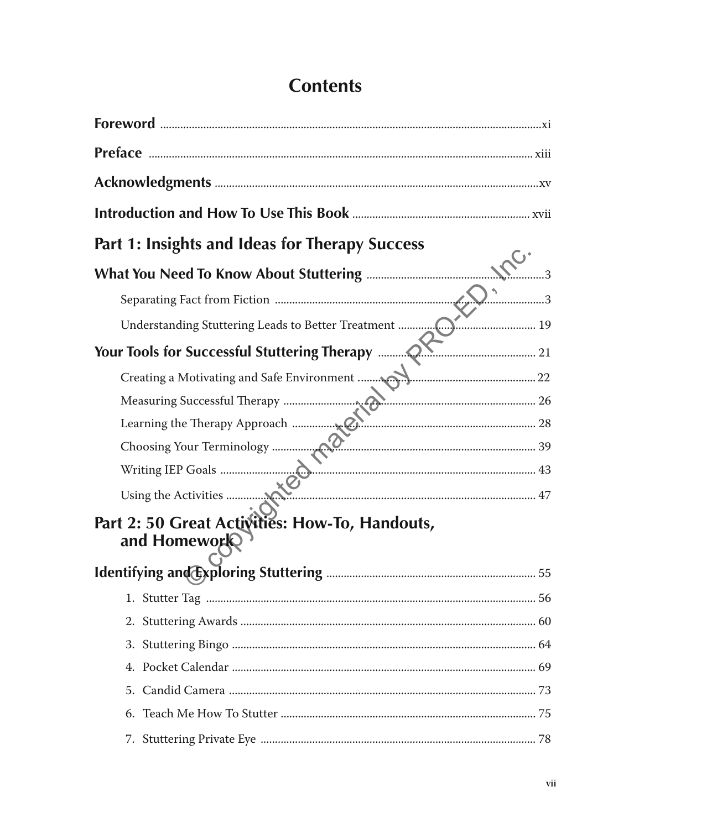## **Contents**

| Part 1: Insights and Ideas for Therapy Success                 |     |
|----------------------------------------------------------------|-----|
|                                                                |     |
|                                                                | . 3 |
|                                                                |     |
|                                                                |     |
|                                                                |     |
|                                                                |     |
|                                                                |     |
|                                                                |     |
|                                                                |     |
|                                                                |     |
| Part 2: 50 Great Activities: How-To, Handouts,<br>and Homework |     |
|                                                                |     |
|                                                                |     |
|                                                                |     |
|                                                                |     |
| 5.                                                             |     |
| 6.                                                             |     |
|                                                                |     |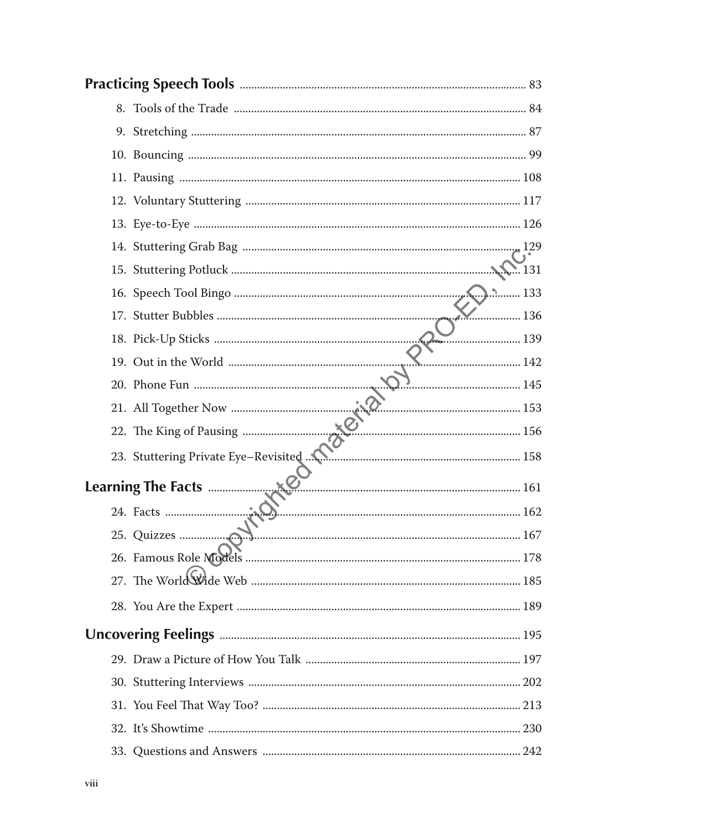| 8. |                    |     |
|----|--------------------|-----|
|    |                    |     |
|    |                    |     |
|    |                    |     |
|    |                    |     |
|    |                    |     |
|    |                    |     |
|    |                    |     |
|    |                    |     |
|    |                    | 136 |
|    |                    |     |
|    |                    |     |
|    |                    |     |
|    |                    |     |
|    |                    |     |
|    |                    |     |
|    | Learning The Facts |     |
|    |                    |     |
|    |                    |     |
|    |                    |     |
|    |                    |     |
|    |                    |     |
|    |                    |     |
|    |                    |     |
|    |                    |     |
|    |                    |     |
|    |                    |     |
|    |                    |     |